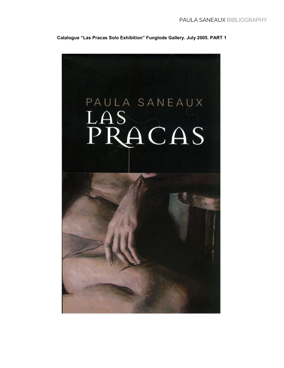**Catalogue "Las Pracas Solo Exhibition" Funglode Gallery. July 2005. PART 1**

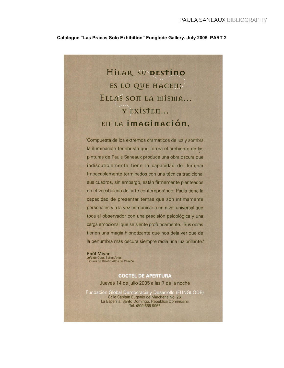#### **Catalogue "Las Pracas Solo Exhibition" Funglode Gallery. July 2005. PART 2**

# HILAR SU DESTINO ES LO QUE HACEII; ELLAS SON LA MISMA... Y EXISTEI... EILA İMAGİNACİÓN.

"Compuesta de los extremos dramáticos de luz y sombra, la iluminación tenebrista que forma el ambiente de las pinturas de Paula Saneaux produce una obra oscura que indiscutiblemente tiene la capacidad de iluminar. Impecablemente terminados con una técnica tradicional, sus cuadros, sin embargo, están firmemente planteados en el vocabulario del arte contemporáneo. Paula tiene la capacidad de presentar temas que son íntimamente personales y a la vez comunicar a un nivel universal que toca al observador con una precisión psicológica y una carga emocional que se siente profundamente. Sus obras tienen una magia hipnotizante que nos deja ver que de la penumbra más oscura siempre radia una luz brillante."

Raúl Miyar Jefe de Dept. Bellas Artes,<br>Escuela de Diseño Altos de Chavón

### **COCTEL DE APERTURA** Jueves 14 de julio 2005 a las 7 de la noche

Fundación Global Democracia y Desarrollo (FUNGLODE) Calle Capitán Eugenio de Marchena No. 26. La Esperilla, Santo Domingo, República Dominicana. Tel. (809)685-9966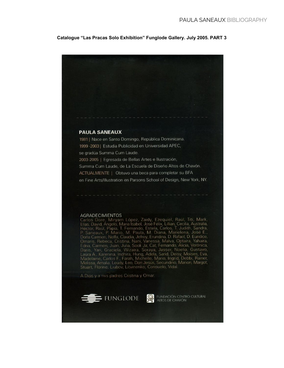#### **Catalogue "Las Pracas Solo Exhibition" Funglode Gallery. July 2005. PART 3**

#### **PAULA SANEAUX**

1981 | Nace en Santo Domingo, República Dominicana. 1999 - 2003 | Estudia Publicidad en Universidad APEC, se gradúa Summa Cum Laude. 2003-2005 | Egresada de Bellas Artes e Ilustración, Summa Cum Laude, de La Escuela de Diseño Altos de Chavón. ACTUALMENTE | Obtuvo una beca para completar su BFA en Fine Arts/Illustration en Parsons School of Design, New York, NY.

#### AGRADECIMIENTOS

AGRADECIMIENTOS<br>Carlos Dore, Miryam López, Zaidy, Ezequiel, Raúl, Titi, Mark,<br>Elías, David, Angelo, Maria Isabel, José Félix, Lillian, Cecilia, Australia,<br>Héctor, Raúl, Papía, T. Fernando, Estela, Carlos, T. Judith, Sandra

A Dios y a mis padres Cristina y Omar.





FUNDACIÓN CENTRO CULTURAL<br>ALTOS DE CHAVÓN